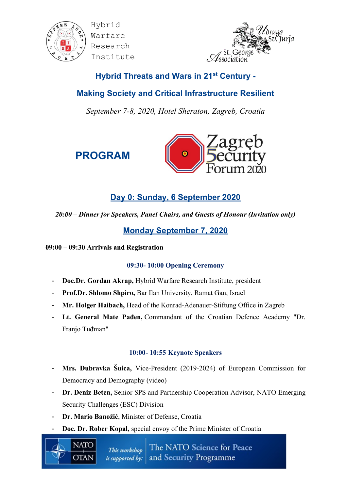



# **Hybrid Threats and Wars in 21st Century -**

# **Making Society and Critical Infrastructure Resilient**

*September 7-8, 2020, Hotel Sheraton, Zagreb, Croatia*





# **Day 0: Sunday, 6 September 2020**

*20:00 – Dinner for Speakers, Panel Chairs, and Guests of Honour (Invitation only)*

# **Monday September 7, 2020**

### **09:00 – 09:30 Arrivals and Registration**

## **09:30- 10:00 Opening Ceremony**

- **Doc.Dr. Gordan Akrap,** Hybrid Warfare Research Institute, president
- **Prof.Dr. Shlomo Shpiro,** Bar Ilan University, Ramat Gan, Israel
- **Mr. Holger Haibach,** Head of the Konrad-Adenauer-Stiftung Office in Zagreb
- **Lt. General Mate Pađen,** Commandant of the Croatian Defence Academy "Dr. Franjo Tuđman"

## **10:00- 10:55 Keynote Speakers**

- **Mrs. Dubravka Šuica,** Vice-President (2019-2024) of European Commission for Democracy and Demography (video)
- **Dr. Deniz Beten,** Senior SPS and Partnership Cooperation Advisor, NATO Emerging Security Challenges (ESC) Division
- **Dr. Mario Banožić**, Minister of Defense, Croatia

**NATO** 

**OTAN** 

Doc. Dr. Rober Kopal, special envoy of the Prime Minister of Croatia

The NATO Science for Peace This workshop *is supported by:* and Security Programme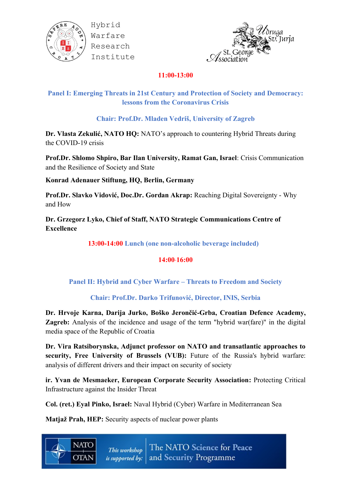



### **11:00-13:00**

## **Panel I: Emerging Threats in 21st Century and Protection of Society and Democracy: lessons from the Coronavirus Crisis**

**Chair: Prof.Dr. Mladen Vedriš, University of Zagreb**

**Dr. Vlasta Zekulić, NATO HQ:** NATO's approach to countering Hybrid Threats during the COVID-19 crisis

**Prof.Dr. Shlomo Shpiro, Bar Ilan University, Ramat Gan, Israel**: Crisis Communication and the Resilience of Society and State

**Konrad Adenauer Stiftung, HQ, Berlin, Germany**

**Prof.Dr. Slavko Vidović, Doc.Dr. Gordan Akrap:** Reaching Digital Sovereignty - Why and How

**Dr. Grzegorz Lyko, Chief of Staff, NATO Strategic Communications Centre of Excellence**

**13:00-14:00 Lunch (one non-alcoholic beverage included)**

#### **14:00 16:00**

#### **Panel II: Hybrid and Cyber Warfare – Threats to Freedom and Society**

#### **Chair: Prof.Dr. Darko Trifunović, Director, INIS, Serbia**

**Dr. Hrvoje Karna, Darija Jurko, Boško Jerončić-Grba, Croatian Defence Academy, Zagreb:** Analysis of the incidence and usage of the term "hybrid war(fare)" in the digital media space of the Republic of Croatia

**Dr. Vira Ratsiborynska, Adjunct professor on NATO and transatlantic approaches to security, Free University of Brussels (VUB):** Future of the Russia's hybrid warfare: analysis of different drivers and their impact on security of society

**ir. Yvan de Mesmaeker, European Corporate Security Association:** Protecting Critical Infrastructure against the Insider Threat

**Col. (ret.) Eyal Pinko, Israel:** Naval Hybrid (Cyber) Warfare in Mediterranean Sea

**Matjaž Prah, HEP:** Security aspects of nuclear power plants

**NATO** 

OTAN

The NATO Science for Peace This workshop is supported by: and Security Programme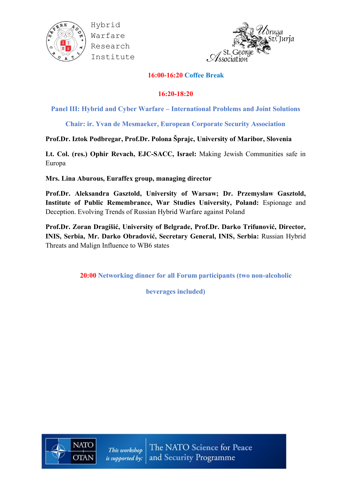



#### **16:00-16:20 Coffee Break**

#### **16:20-18:20**

Panel III: Hybrid and Cyber Warfare – International Problems and Joint Solutions

**Chair: ir. Yvan de Mesmaeker, European Corporate Security Association**

### **Prof.Dr. Iztok Podbregar, Prof.Dr. Polona Šprajc, University of Maribor, Slovenia**

**Lt. Col. (res.) Ophir Revach, EJC-SACC, Israel:** Making Jewish Communities safe in Europa

**Mrs. Lina Aburous, Euraffex group, managing director**

**Prof.Dr. Aleksandra Gasztold, University of Warsaw; Dr. Przemysław Gasztold, Institute of Public Remembrance, War Studies University, Poland:** Espionage and Deception. Evolving Trends of Russian Hybrid Warfare against Poland

**Prof.Dr. Zoran Dragišić, University of Belgrade, Prof.Dr. Darko Trifunović, Director, INIS, Serbia, Mr. Darko Obradović, Secretary General, INIS, Serbia:** Russian Hybrid Threats and Malign Influence to WB6 states

**20:00 Networking dinner for all Forum participants (two non-alcoholic** 

**beverages included)**